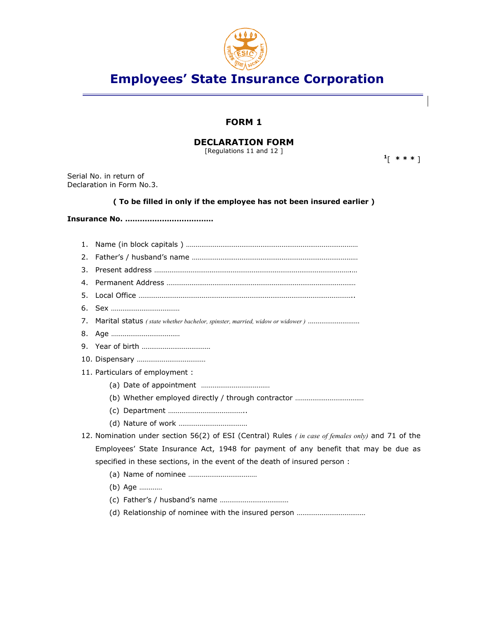

# **Employees' State Insurance Corporation**

## **FORM 1**

## **DECLARATION FORM**

[Regulations 11 and 12 ]

**<sup>1</sup>**[ **\* \* \*** ]

Serial No. in return of Declaration in Form No.3.

#### **( To be filled in only if the employee has not been insured earlier )**

## **Insurance No. ………………………………**

| 3. |                                                                                                   |
|----|---------------------------------------------------------------------------------------------------|
| 4. |                                                                                                   |
| 5. |                                                                                                   |
| 6. |                                                                                                   |
| 7. | Marital status (state whether bachelor, spinster, married, widow or widower)                      |
|    |                                                                                                   |
|    |                                                                                                   |
|    |                                                                                                   |
|    | 11. Particulars of employment :                                                                   |
|    |                                                                                                   |
|    |                                                                                                   |
|    |                                                                                                   |
|    |                                                                                                   |
|    | 12. Nomination under section 56(2) of ESI (Central) Rules (in case of females only) and 71 of the |
|    | Employees' State Insurance Act, 1948 for payment of any benefit that may be due as                |
|    | specified in these sections, in the event of the death of insured person:                         |
|    |                                                                                                   |
|    | (b) Age                                                                                           |
|    |                                                                                                   |
|    |                                                                                                   |
|    |                                                                                                   |